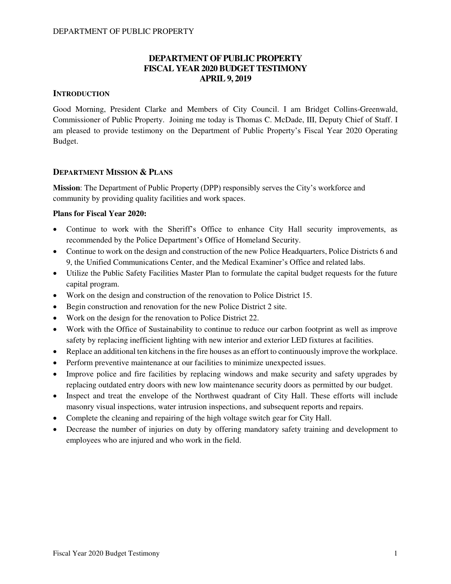## **DEPARTMENT OF PUBLIC PROPERTY FISCAL YEAR 2020 BUDGET TESTIMONY APRIL 9, 2019**

## **INTRODUCTION**

Good Morning, President Clarke and Members of City Council. I am Bridget Collins-Greenwald, Commissioner of Public Property. Joining me today is Thomas C. McDade, III, Deputy Chief of Staff. I am pleased to provide testimony on the Department of Public Property's Fiscal Year 2020 Operating Budget.

### **DEPARTMENT MISSION & PLANS**

**Mission**: The Department of Public Property (DPP) responsibly serves the City's workforce and community by providing quality facilities and work spaces.

### **Plans for Fiscal Year 2020:**

- Continue to work with the Sheriff's Office to enhance City Hall security improvements, as recommended by the Police Department's Office of Homeland Security.
- Continue to work on the design and construction of the new Police Headquarters, Police Districts 6 and 9, the Unified Communications Center, and the Medical Examiner's Office and related labs.
- Utilize the Public Safety Facilities Master Plan to formulate the capital budget requests for the future capital program.
- Work on the design and construction of the renovation to Police District 15.
- Begin construction and renovation for the new Police District 2 site.
- Work on the design for the renovation to Police District 22.
- Work with the Office of Sustainability to continue to reduce our carbon footprint as well as improve safety by replacing inefficient lighting with new interior and exterior LED fixtures at facilities.
- Replace an additional ten kitchens in the fire houses as an effort to continuously improve the workplace.
- Perform preventive maintenance at our facilities to minimize unexpected issues.
- Improve police and fire facilities by replacing windows and make security and safety upgrades by replacing outdated entry doors with new low maintenance security doors as permitted by our budget.
- Inspect and treat the envelope of the Northwest quadrant of City Hall. These efforts will include masonry visual inspections, water intrusion inspections, and subsequent reports and repairs.
- Complete the cleaning and repairing of the high voltage switch gear for City Hall.
- Decrease the number of injuries on duty by offering mandatory safety training and development to employees who are injured and who work in the field.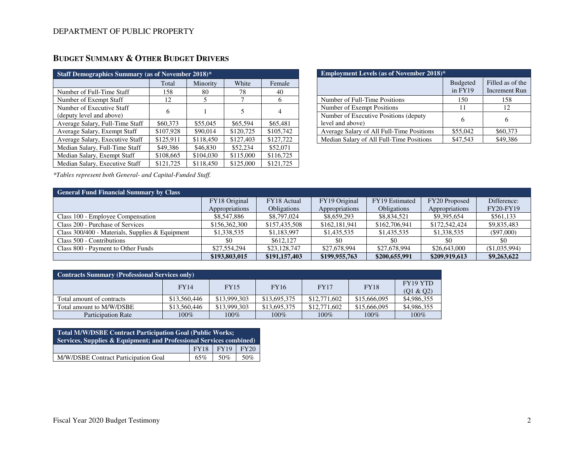| <b>Staff Demographics Summary (as of November 2018)*</b> |           |           |           |           |  |  |  |  |  |
|----------------------------------------------------------|-----------|-----------|-----------|-----------|--|--|--|--|--|
|                                                          | Total     | Minority  | White     | Female    |  |  |  |  |  |
| Number of Full-Time Staff                                | 158       | 80        | 78        | 40        |  |  |  |  |  |
| Number of Exempt Staff                                   | 12        | 5         |           | 6         |  |  |  |  |  |
| Number of Executive Staff<br>(deputy level and above)    | 6         |           | 5         | 4         |  |  |  |  |  |
| Average Salary, Full-Time Staff                          | \$60,373  | \$55,045  | \$65,594  | \$65,481  |  |  |  |  |  |
| Average Salary, Exempt Staff                             | \$107,928 | \$90,014  | \$120,725 | \$105,742 |  |  |  |  |  |
| Average Salary, Executive Staff                          | \$125,911 | \$118,450 | \$127,403 | \$127,722 |  |  |  |  |  |
| Median Salary, Full-Time Staff                           | \$49,386  | \$46,830  | \$52,234  | \$52,071  |  |  |  |  |  |
| Median Salary, Exempt Staff                              | \$108,665 | \$104,030 | \$115,000 | \$116,725 |  |  |  |  |  |
| Median Salary, Executive Staff                           | \$121,725 | \$118,450 | \$125,000 | \$121,725 |  |  |  |  |  |

# **BUDGET SUMMARY & OTHER BUDGET DRIVERS**

| <b>Employment Levels (as of November 2018)*</b>           |                            |                                          |  |  |  |  |  |
|-----------------------------------------------------------|----------------------------|------------------------------------------|--|--|--|--|--|
|                                                           | <b>Budgeted</b><br>in FY19 | Filled as of the<br><b>Increment Run</b> |  |  |  |  |  |
| Number of Full-Time Positions                             | 150                        | 158                                      |  |  |  |  |  |
| Number of Exempt Positions                                | 11                         | 12                                       |  |  |  |  |  |
| Number of Executive Positions (deputy<br>level and above) | 6                          | 6                                        |  |  |  |  |  |
| Average Salary of All Full-Time Positions                 | \$55,042                   | \$60,373                                 |  |  |  |  |  |
| Median Salary of All Full-Time Positions                  | \$47,543                   | \$49,386                                 |  |  |  |  |  |

*\*Tables represent both General- and Capital-Funded Staff.*

## **General Fund Financial Summary by Class**

| <b>General Fund Financial Summary by Class</b>    |                |                    |                |                    |                |                  |  |  |  |
|---------------------------------------------------|----------------|--------------------|----------------|--------------------|----------------|------------------|--|--|--|
|                                                   | FY18 Original  | FY18 Actual        | FY19 Original  | FY19 Estimated     | FY20 Proposed  | Difference:      |  |  |  |
|                                                   | Appropriations | <b>Obligations</b> | Appropriations | <b>Obligations</b> | Appropriations | <b>FY20-FY19</b> |  |  |  |
| Class 100 - Employee Compensation                 | \$8,547,886    | \$8,797,024        | \$8,659,293    | \$8,834,521        | \$9,395,654    | \$561,133        |  |  |  |
| Class 200 - Purchase of Services                  | \$156,362,300  | \$157,435,508      | \$162,181,941  | \$162,706,941      | \$172,542,424  | \$9,835,483      |  |  |  |
| Class $300/400$ - Materials, Supplies & Equipment | \$1,338,535    | \$1,183,997        | \$1,435,535    | \$1,435,535        | \$1,338,535    | $(\$97,000)$     |  |  |  |
| Class 500 - Contributions                         | \$0            | \$612,127          | \$0            |                    | \$0            | \$0              |  |  |  |
| Class 800 - Payment to Other Funds                | \$27,554,294   | \$23,128,747       | \$27,678,994   | \$27,678,994       | \$26,643,000   | (S1.035.994)     |  |  |  |
|                                                   | \$193,803,015  | \$191,157,403      | \$199,955,763  | \$200,655,991      | \$209,919,613  | \$9,263,622      |  |  |  |

| <b>Contracts Summary (Professional Services only)</b> |              |              |              |              |              |             |  |  |
|-------------------------------------------------------|--------------|--------------|--------------|--------------|--------------|-------------|--|--|
|                                                       | FY14         | <b>FY15</b>  | <b>FY16</b>  | <b>FY17</b>  | <b>FY18</b>  | FY19 YTD    |  |  |
|                                                       |              |              |              |              |              | (01 & 02)   |  |  |
| Total amount of contracts                             | \$13,560,446 | \$13,999,303 | \$13,695,375 | \$12,771,602 | \$15,666,095 | \$4,986,355 |  |  |
| Total amount to M/W/DSBE                              | \$13,560,446 | \$13,999,303 | \$13,695,375 | \$12,771,602 | \$15,666,095 | \$4,986,355 |  |  |
| <b>Participation Rate</b>                             | $100\%$      | $100\%$      | $100\%$      | $100\%$      | $100\%$      | 100%        |  |  |

| <b>Total M/W/DSBE Contract Participation Goal (Public Works;</b><br>Services, Supplies & Equipment; and Professional Services combined) |             |      |      |  |  |  |  |
|-----------------------------------------------------------------------------------------------------------------------------------------|-------------|------|------|--|--|--|--|
|                                                                                                                                         | <b>FY18</b> | FY19 | FY20 |  |  |  |  |
| M/W/DSBE Contract Participation Goal                                                                                                    | 65%         | 50%  | .50% |  |  |  |  |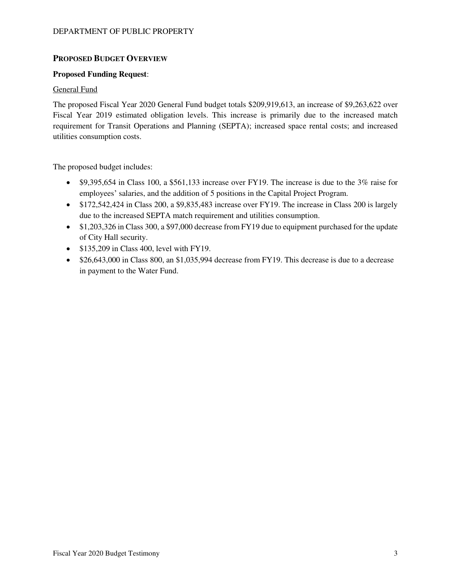### **PROPOSED BUDGET OVERVIEW**

#### **Proposed Funding Request**:

#### General Fund

The proposed Fiscal Year 2020 General Fund budget totals \$209,919,613, an increase of \$9,263,622 over Fiscal Year 2019 estimated obligation levels. This increase is primarily due to the increased match requirement for Transit Operations and Planning (SEPTA); increased space rental costs; and increased utilities consumption costs.

The proposed budget includes:

- \$9,395,654 in Class 100, a \$561,133 increase over FY19. The increase is due to the 3% raise for employees' salaries, and the addition of 5 positions in the Capital Project Program.
- \$172,542,424 in Class 200, a \$9,835,483 increase over FY19. The increase in Class 200 is largely due to the increased SEPTA match requirement and utilities consumption.
- \$1,203,326 in Class 300, a \$97,000 decrease from FY19 due to equipment purchased for the update of City Hall security.
- \$135,209 in Class 400, level with FY19.
- \$26,643,000 in Class 800, an \$1,035,994 decrease from FY19. This decrease is due to a decrease in payment to the Water Fund.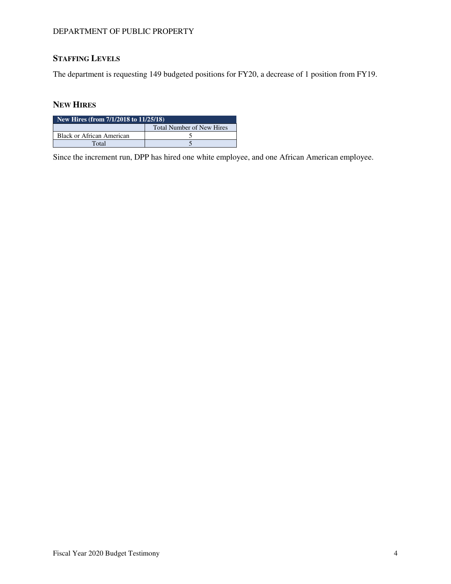#### DEPARTMENT OF PUBLIC PROPERTY

# **STAFFING LEVELS**

The department is requesting 149 budgeted positions for FY20, a decrease of 1 position from FY19.

## **NEW HIRES**

| New Hires (from $7/1/2018$ to $11/25/18$ ) |                                  |  |  |  |  |  |
|--------------------------------------------|----------------------------------|--|--|--|--|--|
|                                            | <b>Total Number of New Hires</b> |  |  |  |  |  |
| <b>Black or African American</b>           |                                  |  |  |  |  |  |
| Total                                      |                                  |  |  |  |  |  |

Since the increment run, DPP has hired one white employee, and one African American employee.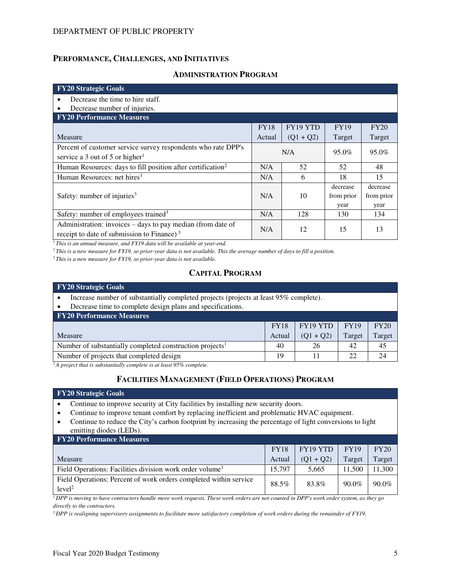#### **PERFORMANCE, CHALLENGES, AND INITIATIVES**

#### **ADMINISTRATION PROGRAM**

| <b>FY20 Strategic Goals</b>                                             |             |             |             |             |
|-------------------------------------------------------------------------|-------------|-------------|-------------|-------------|
| Decrease the time to hire staff.<br>٠                                   |             |             |             |             |
| Decrease number of injuries.                                            |             |             |             |             |
| <b>FY20 Performance Measures</b>                                        |             |             |             |             |
|                                                                         | <b>FY18</b> | FY19 YTD    | <b>FY19</b> | <b>FY20</b> |
| Measure                                                                 | Actual      | $(Q1 + Q2)$ | Target      | Target      |
| Percent of customer service survey respondents who rate DPP's           |             | N/A         | 95.0%       | 95.0%       |
| service a 3 out of 5 or higher <sup>1</sup>                             |             |             |             |             |
| Human Resources: days to fill position after certification <sup>2</sup> | N/A         | 52          | 52          | 48          |
| Human Resources: net hires <sup>3</sup>                                 | N/A         | 6           | 18          | 15          |
|                                                                         |             |             | decrease    | decrease    |
| Safety: number of injuries $3$                                          | N/A         | 10          | from prior  | from prior  |
|                                                                         |             |             | year        | year        |
| Safety: number of employees trained <sup>3</sup>                        | N/A         | 128         | 130         | 134         |
| Administration: invoices – days to pay median (from date of             | N/A         | 12          | 15          | 13          |
| receipt to date of submission to Finance) $3$                           |             |             |             |             |

*<sup>1</sup>This is an annual measure, and FY19 data will be available at year-end.* 

*<sup>2</sup>This is a new measure for FY19, so prior-year data is not available. This the average number of days to fill a position.* 

*<sup>3</sup>This is a new measure for FY19, so prior-year data is not available.* 

## **CAPITAL PROGRAM**

| <b>FY20 Strategic Goals</b>                                                           |             |        |        |  |  |  |  |  |
|---------------------------------------------------------------------------------------|-------------|--------|--------|--|--|--|--|--|
| Increase number of substantially completed projects (projects at least 95% complete). |             |        |        |  |  |  |  |  |
| Decrease time to complete design plans and specifications.                            |             |        |        |  |  |  |  |  |
| <b>FY20 Performance Measures</b>                                                      |             |        |        |  |  |  |  |  |
| FY20<br>FY19 YTD<br><b>FY19</b><br><b>FY18</b>                                        |             |        |        |  |  |  |  |  |
| Actual                                                                                | $(Q1 + Q2)$ | Target | Target |  |  |  |  |  |
| 40                                                                                    | 26          | 42     | 45     |  |  |  |  |  |
| 19                                                                                    |             | 22     | 24     |  |  |  |  |  |
|                                                                                       |             |        |        |  |  |  |  |  |

<sup>1</sup>*A project that is substantially complete is at least 95% complete.* 

### **FACILITIES MANAGEMENT (FIELD OPERATIONS) PROGRAM**

#### **FY20 Strategic Goals**

- Continue to improve security at City facilities by installing new security doors.
- Continue to improve tenant comfort by replacing inefficient and problematic HVAC equipment.
- Continue to reduce the City's carbon footprint by increasing the percentage of light conversions to light emitting diodes (LEDs).

| <b>FY20 Performance Measures</b>                                                        |             |             |             |        |  |  |  |  |  |
|-----------------------------------------------------------------------------------------|-------------|-------------|-------------|--------|--|--|--|--|--|
|                                                                                         | <b>FY18</b> | FY19 YTD    | <b>FY19</b> | FY20   |  |  |  |  |  |
| Measure                                                                                 | Actual      | $(01 + 02)$ | Target      | Target |  |  |  |  |  |
| Field Operations: Facilities division work order volume <sup>1</sup>                    | 15.797      | 5.665       | 11.500      | 1,300  |  |  |  |  |  |
| Field Operations: Percent of work orders completed within service<br>level <sup>2</sup> | 88.5%       | 83.8%       | 90.0%       | 90.0%  |  |  |  |  |  |

*<sup>1</sup>DPP is moving to have contractors handle more work requests. These work orders are not counted in DPP's work order system, as they go directly to the contractors.* 

*2 DPP is realigning supervisory assignments to facilitate more satisfactory completion of work orders during the remainder of FY19.*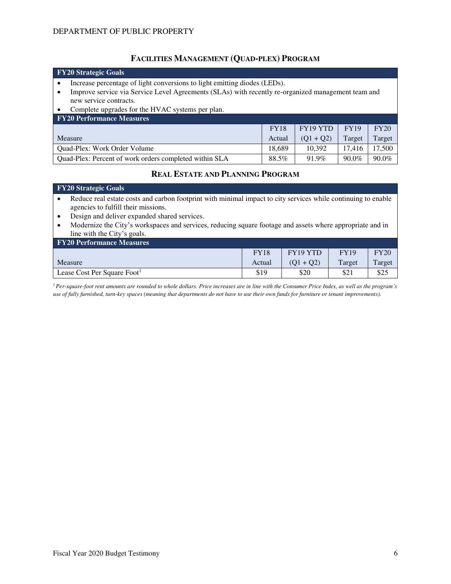#### **FACILITIES MANAGEMENT (QUAD-PLEX) PROGRAM**

#### **FY20 Strategic Goals**  • Increase percentage of light conversions to light emitting diodes (LEDs). • Improve service via Service Level Agreements (SLAs) with recently re-organized management team and new service contracts. Complete upgrades for the HVAC systems per plan. **FY20 Performance Measures**  Measure FY18 Actual FY19 YTD  $(Q1 + Q2)$ FY19 Target FY20 Target Quad-Plex: Work Order Volume 18,689 10,392 17,416 17,500 Quad-Plex: Percent of work orders completed within SLA 88.5% 91.9% 90.0% 90.0%

### **REAL ESTATE AND PLANNING PROGRAM**

#### **FY20 Strategic Goals**

- Reduce real estate costs and carbon footprint with minimal impact to city services while continuing to enable agencies to fulfill their missions.
- Design and deliver expanded shared services.
- Modernize the City's workspaces and services, reducing square footage and assets where appropriate and in line with the City's goals.

| <b>FY20 Performance Measures</b> |             |             |             |        |  |  |  |  |
|----------------------------------|-------------|-------------|-------------|--------|--|--|--|--|
|                                  | <b>FY18</b> | FY19 YTD    | <b>FY19</b> | FY20   |  |  |  |  |
| Measure                          | Actual      | $(01 + 02)$ | Target      | Target |  |  |  |  |
| Lease Cost Per Square Foot       | \$19        | \$20        | \$21        | \$25   |  |  |  |  |

<sup>1</sup> Per-square-foot rent amounts are rounded to whole dollars. Price increases are in line with the Consumer Price Index, as well as the program's *use of fully furnished, turn-key spaces (meaning that departments do not have to use their own funds for furniture or tenant improvements).*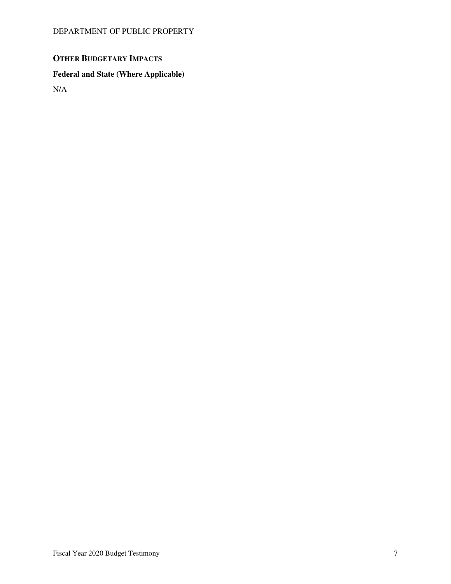# **OTHER BUDGETARY IMPACTS**

# **Federal and State (Where Applicable)**

N/A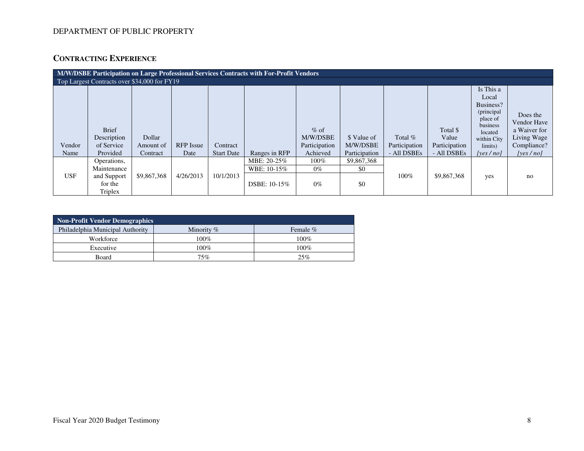## DEPARTMENT OF PUBLIC PROPERTY

# **CONTRACTING EXPERIENCE**

| M/W/DSBE Participation on Large Professional Services Contracts with For-Profit Vendors |                                                                 |                                 |                          |                               |                                            |                                                 |                                          |                                           |                                                   |                                                                                                                        |                                                                                   |
|-----------------------------------------------------------------------------------------|-----------------------------------------------------------------|---------------------------------|--------------------------|-------------------------------|--------------------------------------------|-------------------------------------------------|------------------------------------------|-------------------------------------------|---------------------------------------------------|------------------------------------------------------------------------------------------------------------------------|-----------------------------------------------------------------------------------|
|                                                                                         | Top Largest Contracts over \$34,000 for FY19                    |                                 |                          |                               |                                            |                                                 |                                          |                                           |                                                   |                                                                                                                        |                                                                                   |
| Vendor<br>Name                                                                          | <b>Brief</b><br>Description<br>of Service<br>Provided           | Dollar<br>Amount of<br>Contract | <b>RFP</b> Issue<br>Date | Contract<br><b>Start Date</b> | Ranges in RFP                              | $%$ of<br>M/W/DSBE<br>Participation<br>Achieved | \$ Value of<br>M/W/DSBE<br>Participation | Total $%$<br>Participation<br>- All DSBEs | Total \$<br>Value<br>Participation<br>- All DSBEs | Is This a<br>Local<br>Business?<br>(principal<br>place of<br>business<br>located<br>within City<br>limits)<br>[ves/no] | Does the<br>Vendor Have<br>a Waiver for<br>Living Wage<br>Compliance?<br>[yes/no] |
| <b>USF</b>                                                                              | Operations,<br>Maintenance<br>and Support<br>for the<br>Triplex | \$9,867,368                     | 4/26/2013                | 10/1/2013                     | MBE: 20-25%<br>WBE: 10-15%<br>DSBE: 10-15% | $100\%$<br>$0\%$<br>$0\%$                       | \$9,867,368<br>\$0<br>\$0                | $100\%$                                   | \$9,867,368                                       | yes                                                                                                                    | no                                                                                |

| Non-Profit Vendor Demographics   |              |          |  |  |  |  |  |  |
|----------------------------------|--------------|----------|--|--|--|--|--|--|
| Philadelphia Municipal Authority | Minority $%$ | Female % |  |  |  |  |  |  |
| Workforce                        | 100%         | $100\%$  |  |  |  |  |  |  |
| Executive                        | 100%         | 100%     |  |  |  |  |  |  |
| Board                            | 75%          | 25%      |  |  |  |  |  |  |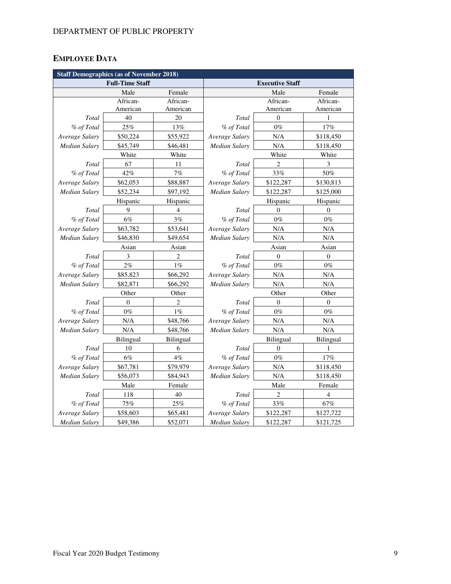# **EMPLOYEE DATA**

| <b>Staff Demographics (as of November 2018)</b> |           |                |                        |                |                  |
|-------------------------------------------------|-----------|----------------|------------------------|----------------|------------------|
| <b>Full-Time Staff</b>                          |           |                | <b>Executive Staff</b> |                |                  |
|                                                 | Male      | Female         |                        | Male           | Female           |
|                                                 | African-  | African-       |                        | African-       | African-         |
|                                                 | American  | American       |                        | American       | American         |
| Total                                           | 40        | 20             | Total                  | $\theta$       | 1                |
| % of Total                                      | 25%       | 13%            | % of Total             | $0\%$          | 17%              |
| Average Salary                                  | \$50,224  | \$55,922       | Average Salary         | N/A            | \$118,450        |
| Median Salary                                   | \$45,749  | \$46,481       | Median Salary          | N/A            | \$118,450        |
|                                                 | White     | White          |                        | White          | White            |
| Total                                           | 67        | 11             | Total                  | $\overline{2}$ | 3                |
| % of Total                                      | 42%       | 7%             | % of Total             | 33%            | $50\%$           |
| Average Salary                                  | \$62,053  | \$88,887       | Average Salary         | \$122,287      | \$130,813        |
| Median Salary                                   | \$52,234  | \$97,192       | Median Salary          | \$122,287      | \$125,000        |
|                                                 | Hispanic  | Hispanic       |                        | Hispanic       | Hispanic         |
| Total                                           | 9         | $\overline{4}$ | Total                  | $\theta$       | $\Omega$         |
| % of Total                                      | 6%        | 3%             | % of Total             | $0\%$          | $0\%$            |
| Average Salary                                  | \$63,782  | \$53,641       | Average Salary         | N/A            | N/A              |
| <b>Median Salary</b>                            | \$46,830  | \$49,654       | <b>Median Salary</b>   | N/A            | N/A              |
|                                                 | Asian     | Asian          |                        | Asian          | Asian            |
| Total                                           | 3         | 2              | Total                  | $\mathbf{0}$   | $\boldsymbol{0}$ |
| % of Total                                      | 2%        | $1\%$          | % of Total             | $0\%$          | $0\%$            |
| Average Salary                                  | \$85,823  | \$66,292       | Average Salary         | N/A            | N/A              |
| <b>Median Salary</b>                            | \$82,871  | \$66,292       | Median Salary          | N/A            | N/A              |
|                                                 | Other     | Other          |                        | Other          | Other            |
| Total                                           | $\Omega$  | $\overline{2}$ | Total                  | $\Omega$       | $\overline{0}$   |
| % of Total                                      | $0\%$     | $1\%$          | % of Total             | $0\%$          | $0\%$            |
| Average Salary                                  | N/A       | \$48,766       | Average Salary         | N/A            | N/A              |
| Median Salary                                   | N/A       | \$48,766       | Median Salary          | N/A            | N/A              |
|                                                 | Bilingual | Bilingual      |                        | Bilingual      | Bilingual        |
| Total                                           | 10        | 6              | Total                  | $\mathbf{0}$   | 1                |
| % of Total                                      | 6%        | $4\%$          | % of Total             | $0\%$          | 17%              |
| Average Salary                                  | \$67,781  | \$79,979       | Average Salary         | N/A            | \$118,450        |
| <b>Median Salary</b>                            | \$56,073  | \$84,943       | <b>Median Salary</b>   | N/A            | \$118,450        |
|                                                 | Male      | Female         |                        | Male           | Female           |
| Total                                           | 118       | 40             | Total                  | $\overline{2}$ | 4                |
| % of Total                                      | 75%       | 25%            | % of Total             | 33%            | 67%              |
| Average Salary                                  | \$58,603  | \$65,481       | Average Salary         | \$122,287      | \$127,722        |
| Median Salary                                   | \$49,386  | \$52,071       | Median Salary          | \$122,287      | \$121,725        |